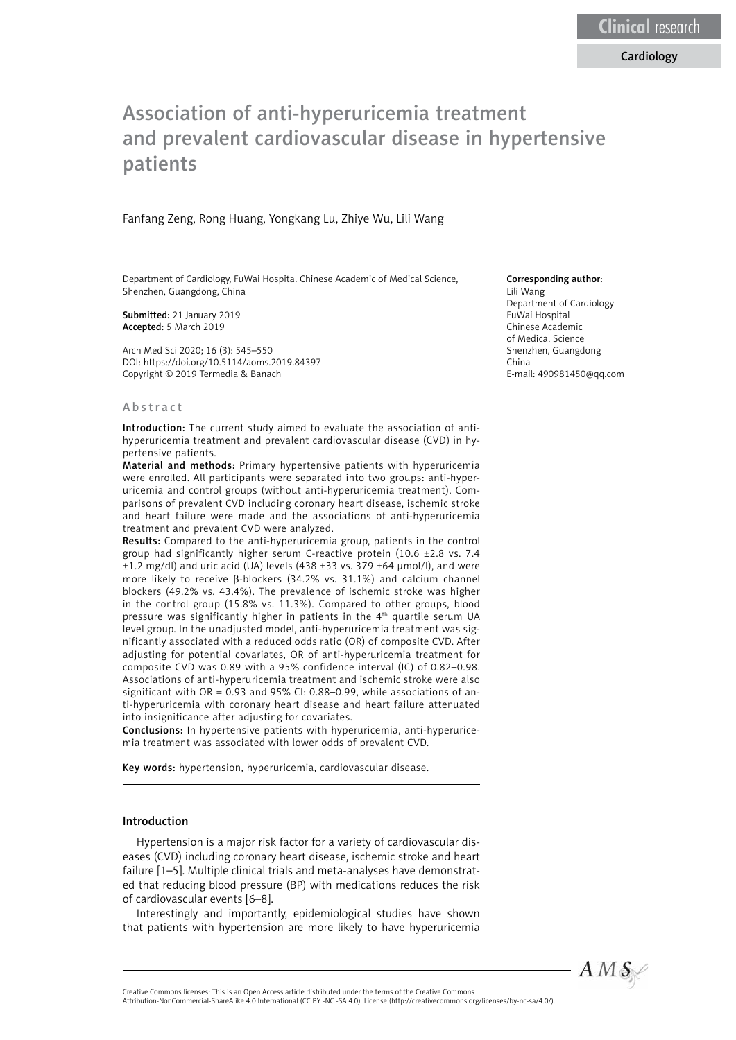# Association of anti-hyperuricemia treatment and prevalent cardiovascular disease in hypertensive patients

#### Fanfang Zeng, Rong Huang, Yongkang Lu, Zhiye Wu, Lili Wang

Department of Cardiology, FuWai Hospital Chinese Academic of Medical Science, Shenzhen, Guangdong, China

Submitted: 21 January 2019 Accepted: 5 March 2019

Arch Med Sci 2020; 16 (3): 545–550 DOI: https://doi.org/10.5114/aoms.2019.84397 Copyright © 2019 Termedia & Banach

#### Abstract

Introduction: The current study aimed to evaluate the association of antihyperuricemia treatment and prevalent cardiovascular disease (CVD) in hypertensive patients.

Material and methods: Primary hypertensive patients with hyperuricemia were enrolled. All participants were separated into two groups: anti-hyperuricemia and control groups (without anti-hyperuricemia treatment). Comparisons of prevalent CVD including coronary heart disease, ischemic stroke and heart failure were made and the associations of anti-hyperuricemia treatment and prevalent CVD were analyzed.

Results: Compared to the anti-hyperuricemia group, patients in the control group had significantly higher serum C-reactive protein (10.6 ±2.8 vs. 7.4 ±1.2 mg/dl) and uric acid (UA) levels (438 ±33 vs. 379 ±64 μmol/l), and were more likely to receive  $\beta$ -blockers (34.2% vs. 31.1%) and calcium channel blockers (49.2% vs. 43.4%). The prevalence of ischemic stroke was higher in the control group (15.8% vs. 11.3%). Compared to other groups, blood pressure was significantly higher in patients in the 4th quartile serum UA level group. In the unadjusted model, anti-hyperuricemia treatment was significantly associated with a reduced odds ratio (OR) of composite CVD. After adjusting for potential covariates, OR of anti-hyperuricemia treatment for composite CVD was 0.89 with a 95% confidence interval (IC) of 0.82–0.98. Associations of anti-hyperuricemia treatment and ischemic stroke were also significant with OR = 0.93 and 95% CI: 0.88–0.99, while associations of anti-hyperuricemia with coronary heart disease and heart failure attenuated into insignificance after adjusting for covariates.

Conclusions: In hypertensive patients with hyperuricemia, anti-hyperuricemia treatment was associated with lower odds of prevalent CVD.

Key words: hypertension, hyperuricemia, cardiovascular disease.

#### Introduction

Hypertension is a major risk factor for a variety of cardiovascular diseases (CVD) including coronary heart disease, ischemic stroke and heart failure [1–5]. Multiple clinical trials and meta-analyses have demonstrated that reducing blood pressure (BP) with medications reduces the risk of cardiovascular events [6–8].

Interestingly and importantly, epidemiological studies have shown that patients with hypertension are more likely to have hyperuricemia

#### Corresponding author:

Lili Wang Department of Cardiology FuWai Hospital Chinese Academic of Medical Science Shenzhen, Guangdong China E-mail: 490981450@qq.com



Attribution-NonCommercial-ShareAlike 4.0 International (CC BY -NC -SA 4.0). License (http://creativecommons.org/licenses/by-nc-sa/4.0/).

Creative Commons licenses: This is an Open Access article distributed under the terms of the Creative Commons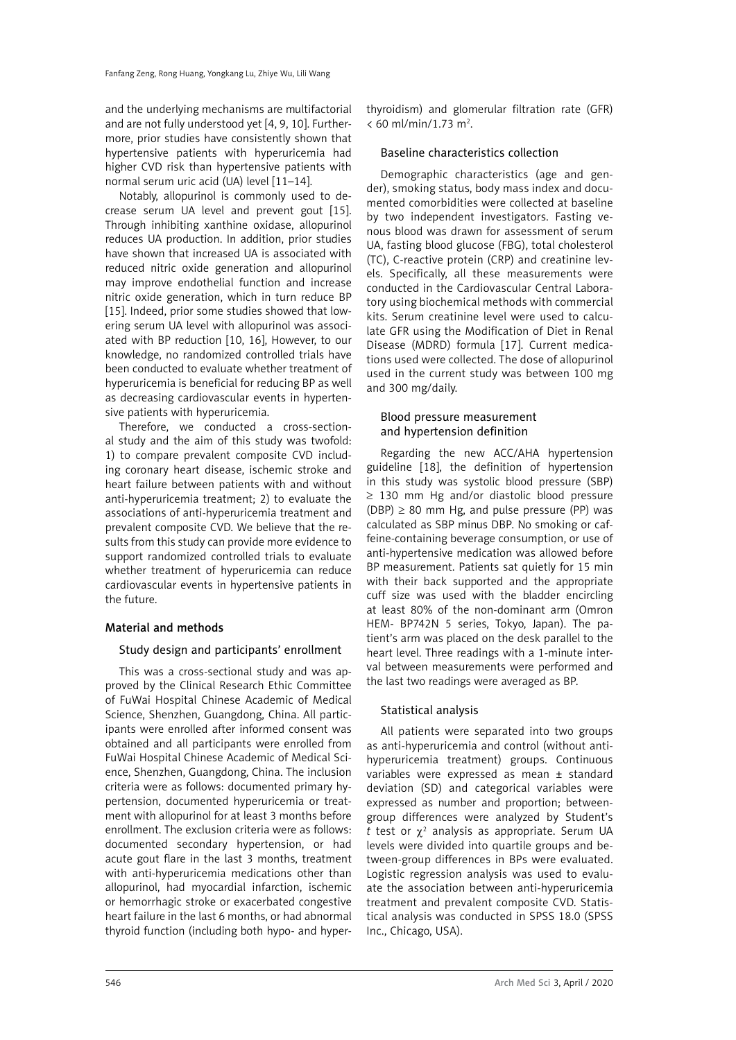and the underlying mechanisms are multifactorial and are not fully understood yet [4, 9, 10]. Furthermore, prior studies have consistently shown that hypertensive patients with hyperuricemia had higher CVD risk than hypertensive patients with normal serum uric acid (UA) level [11–14].

Notably, allopurinol is commonly used to decrease serum UA level and prevent gout [15]. Through inhibiting xanthine oxidase, allopurinol reduces UA production. In addition, prior studies have shown that increased UA is associated with reduced nitric oxide generation and allopurinol may improve endothelial function and increase nitric oxide generation, which in turn reduce BP [15]. Indeed, prior some studies showed that lowering serum UA level with allopurinol was associated with BP reduction [10, 16], However, to our knowledge, no randomized controlled trials have been conducted to evaluate whether treatment of hyperuricemia is beneficial for reducing BP as well as decreasing cardiovascular events in hypertensive patients with hyperuricemia.

Therefore, we conducted a cross-sectional study and the aim of this study was twofold: 1) to compare prevalent composite CVD including coronary heart disease, ischemic stroke and heart failure between patients with and without anti-hyperuricemia treatment; 2) to evaluate the associations of anti-hyperuricemia treatment and prevalent composite CVD. We believe that the results from this study can provide more evidence to support randomized controlled trials to evaluate whether treatment of hyperuricemia can reduce cardiovascular events in hypertensive patients in the future.

# Material and methods

# Study design and participants' enrollment

This was a cross-sectional study and was approved by the Clinical Research Ethic Committee of FuWai Hospital Chinese Academic of Medical Science, Shenzhen, Guangdong, China. All participants were enrolled after informed consent was obtained and all participants were enrolled from FuWai Hospital Chinese Academic of Medical Science, Shenzhen, Guangdong, China. The inclusion criteria were as follows: documented primary hypertension, documented hyperuricemia or treatment with allopurinol for at least 3 months before enrollment. The exclusion criteria were as follows: documented secondary hypertension, or had acute gout flare in the last 3 months, treatment with anti-hyperuricemia medications other than allopurinol, had myocardial infarction, ischemic or hemorrhagic stroke or exacerbated congestive heart failure in the last 6 months, or had abnormal thyroid function (including both hypo- and hyperthyroidism) and glomerular filtration rate (GFR)  $< 60$  ml/min/1.73 m<sup>2</sup>.

# Baseline characteristics collection

Demographic characteristics (age and gender), smoking status, body mass index and documented comorbidities were collected at baseline by two independent investigators. Fasting venous blood was drawn for assessment of serum UA, fasting blood glucose (FBG), total cholesterol (TC), C-reactive protein (CRP) and creatinine levels. Specifically, all these measurements were conducted in the Cardiovascular Central Laboratory using biochemical methods with commercial kits. Serum creatinine level were used to calculate GFR using the Modification of Diet in Renal Disease (MDRD) formula [17]. Current medications used were collected. The dose of allopurinol used in the current study was between 100 mg and 300 mg/daily.

# Blood pressure measurement and hypertension definition

Regarding the new ACC/AHA hypertension guideline [18], the definition of hypertension in this study was systolic blood pressure (SBP) ≥ 130 mm Hg and/or diastolic blood pressure  $(DBP) \geq 80$  mm Hg, and pulse pressure (PP) was calculated as SBP minus DBP. No smoking or caffeine-containing beverage consumption, or use of anti-hypertensive medication was allowed before BP measurement. Patients sat quietly for 15 min with their back supported and the appropriate cuff size was used with the bladder encircling at least 80% of the non-dominant arm (Omron HEM- BP742N 5 series, Tokyo, Japan). The patient's arm was placed on the desk parallel to the heart level. Three readings with a 1-minute interval between measurements were performed and the last two readings were averaged as BP.

# Statistical analysis

All patients were separated into two groups as anti-hyperuricemia and control (without antihyperuricemia treatment) groups. Continuous variables were expressed as mean ± standard deviation (SD) and categorical variables were expressed as number and proportion; betweengroup differences were analyzed by Student's  $t$  test or  $\chi^2$  analysis as appropriate. Serum UA levels were divided into quartile groups and between-group differences in BPs were evaluated. Logistic regression analysis was used to evaluate the association between anti-hyperuricemia treatment and prevalent composite CVD. Statistical analysis was conducted in SPSS 18.0 (SPSS Inc., Chicago, USA).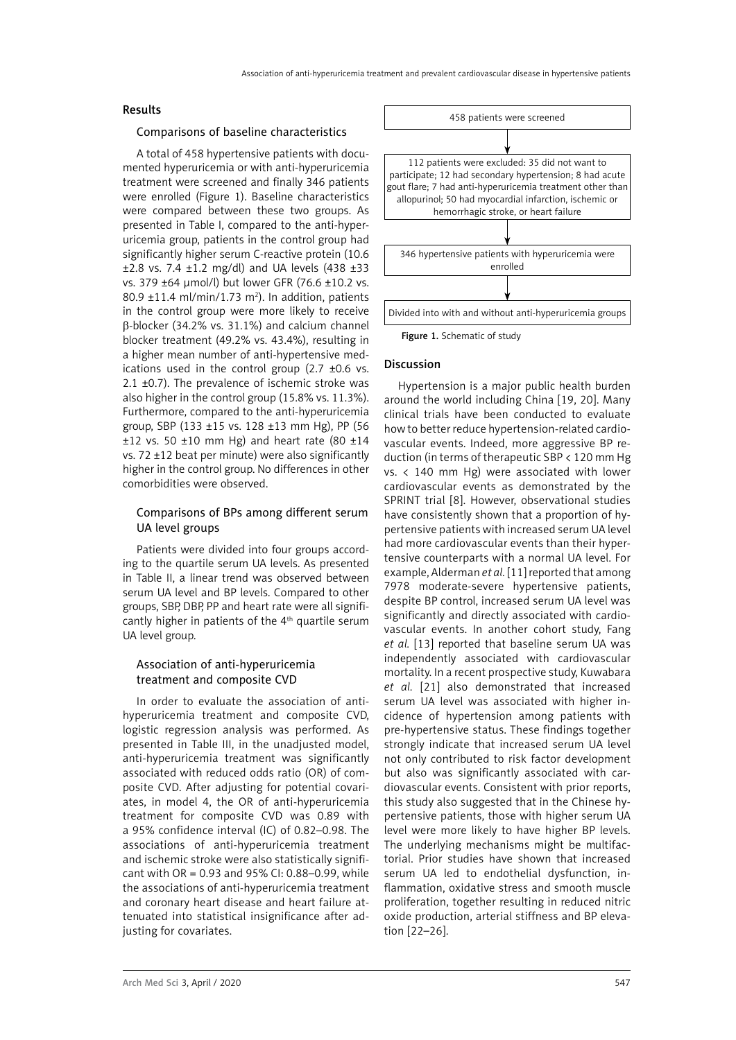### Results

### Comparisons of baseline characteristics

A total of 458 hypertensive patients with documented hyperuricemia or with anti-hyperuricemia treatment were screened and finally 346 patients were enrolled (Figure 1). Baseline characteristics were compared between these two groups. As presented in Table I, compared to the anti-hyperuricemia group, patients in the control group had significantly higher serum C-reactive protein (10.6 ±2.8 vs. 7.4 ±1.2 mg/dl) and UA levels (438 ±33 vs. 379 ±64 μmol/l) but lower GFR (76.6 ±10.2 vs.  $80.9 \pm 11.4 \text{ ml/min}/1.73 \text{ m}^2$ ). In addition, patients in the control group were more likely to receive β-blocker (34.2% vs. 31.1%) and calcium channel blocker treatment (49.2% vs. 43.4%), resulting in a higher mean number of anti-hypertensive medications used in the control group  $(2.7 \pm 0.6 \text{ vs.})$ 2.1  $\pm$ 0.7). The prevalence of ischemic stroke was also higher in the control group (15.8% vs. 11.3%). Furthermore, compared to the anti-hyperuricemia group, SBP (133 ±15 vs. 128 ±13 mm Hg), PP (56  $\pm$ 12 vs. 50  $\pm$ 10 mm Hg) and heart rate (80  $\pm$ 14 vs. 72 ±12 beat per minute) were also significantly higher in the control group. No differences in other comorbidities were observed.

## Comparisons of BPs among different serum UA level groups

Patients were divided into four groups according to the quartile serum UA levels. As presented in Table II, a linear trend was observed between serum UA level and BP levels. Compared to other groups, SBP, DBP, PP and heart rate were all significantly higher in patients of the 4<sup>th</sup> quartile serum UA level group.

# Association of anti-hyperuricemia treatment and composite CVD

In order to evaluate the association of antihyperuricemia treatment and composite CVD, logistic regression analysis was performed. As presented in Table III, in the unadjusted model, anti-hyperuricemia treatment was significantly associated with reduced odds ratio (OR) of composite CVD. After adjusting for potential covariates, in model 4, the OR of anti-hyperuricemia treatment for composite CVD was 0.89 with a 95% confidence interval (IC) of 0.82–0.98. The associations of anti-hyperuricemia treatment and ischemic stroke were also statistically significant with OR = 0.93 and 95% CI: 0.88–0.99, while the associations of anti-hyperuricemia treatment and coronary heart disease and heart failure attenuated into statistical insignificance after adjusting for covariates.



Figure 1. Schematic of study

#### Discussion

Hypertension is a major public health burden around the world including China [19, 20]. Many clinical trials have been conducted to evaluate how to better reduce hypertension-related cardiovascular events. Indeed, more aggressive BP reduction (in terms of therapeutic SBP < 120 mm Hg vs. < 140 mm Hg) were associated with lower cardiovascular events as demonstrated by the SPRINT trial [8]. However, observational studies have consistently shown that a proportion of hypertensive patients with increased serum UA level had more cardiovascular events than their hypertensive counterparts with a normal UA level. For example, Alderman *et al.* [11] reported that among 7978 moderate-severe hypertensive patients, despite BP control, increased serum UA level was significantly and directly associated with cardiovascular events. In another cohort study, Fang *et al.* [13] reported that baseline serum UA was independently associated with cardiovascular mortality. In a recent prospective study, Kuwabara *et al.* [21] also demonstrated that increased serum UA level was associated with higher incidence of hypertension among patients with pre-hypertensive status. These findings together strongly indicate that increased serum UA level not only contributed to risk factor development but also was significantly associated with cardiovascular events. Consistent with prior reports, this study also suggested that in the Chinese hypertensive patients, those with higher serum UA level were more likely to have higher BP levels. The underlying mechanisms might be multifactorial. Prior studies have shown that increased serum UA led to endothelial dysfunction, inflammation, oxidative stress and smooth muscle proliferation, together resulting in reduced nitric oxide production, arterial stiffness and BP elevation [22–26].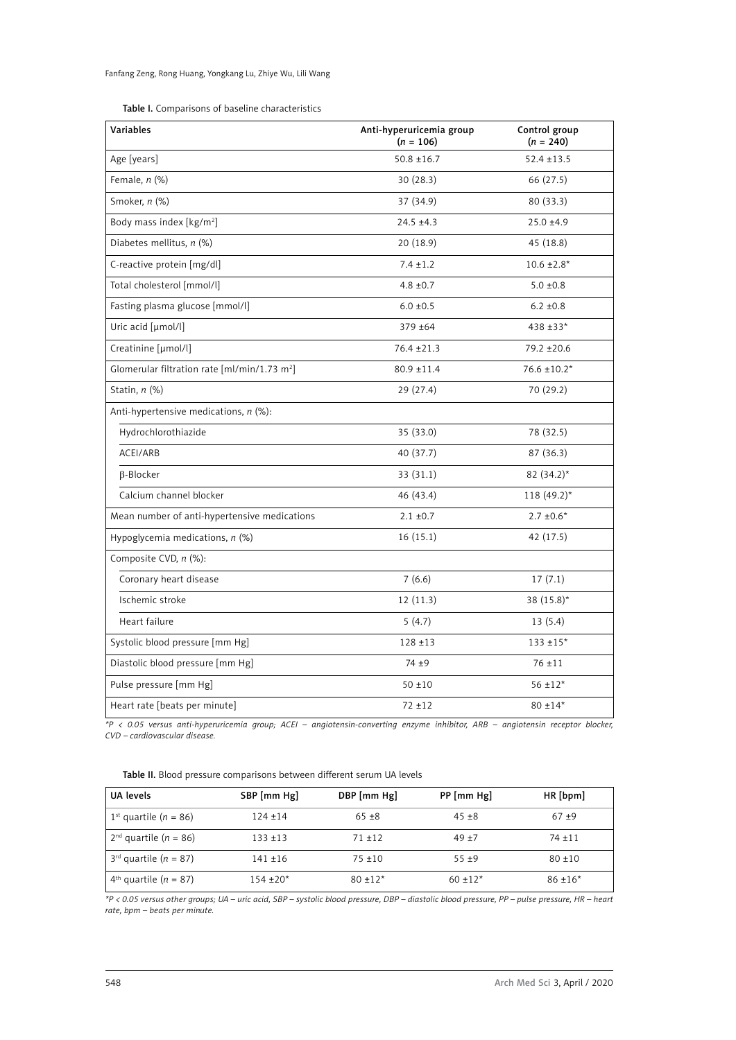| Variables                                                | Anti-hyperuricemia group<br>$(n = 106)$ | Control group<br>$(n = 240)$ |
|----------------------------------------------------------|-----------------------------------------|------------------------------|
| Age [years]                                              | $50.8 \pm 16.7$                         | $52.4 \pm 13.5$              |
| Female, $n$ (%)                                          | 30(28.3)                                | 66 (27.5)                    |
| Smoker, n (%)                                            | 37 (34.9)                               | 80 (33.3)                    |
| Body mass index [kg/m <sup>2</sup> ]                     | $24.5 \pm 4.3$                          | $25.0 + 4.9$                 |
| Diabetes mellitus, n (%)                                 | 20 (18.9)                               | 45 (18.8)                    |
| C-reactive protein [mg/dl]                               | $7.4 \pm 1.2$                           | $10.6 \pm 2.8*$              |
| Total cholesterol [mmol/l]                               | $4.8 \pm 0.7$                           | $5.0 \pm 0.8$                |
| Fasting plasma glucose [mmol/l]                          | $6.0 \pm 0.5$                           | $6.2 \pm 0.8$                |
| Uric acid [µmol/l]                                       | 379 ±64                                 | 438 ±33*                     |
| Creatinine [µmol/l]                                      | $76.4 \pm 21.3$                         | 79.2 ±20.6                   |
| Glomerular filtration rate [ml/min/1.73 m <sup>2</sup> ] | 80.9 ±11.4                              | $76.6 \pm 10.2*$             |
| Statin, n (%)                                            | 29 (27.4)                               | 70 (29.2)                    |
| Anti-hypertensive medications, $n$ (%):                  |                                         |                              |
| Hydrochlorothiazide                                      | 35 (33.0)                               | 78 (32.5)                    |
| ACEI/ARB                                                 | 40 (37.7)                               | 87 (36.3)                    |
| B-Blocker                                                | 33 (31.1)                               | 82 $(34.2)^*$                |
| Calcium channel blocker                                  | 46 (43.4)                               | $118(49.2)$ *                |
| Mean number of anti-hypertensive medications             | $2.1 \pm 0.7$                           | $2.7 \pm 0.6*$               |
| Hypoglycemia medications, $n$ (%)                        | 16(15.1)                                | 42 (17.5)                    |
| Composite CVD, n (%):                                    |                                         |                              |
| Coronary heart disease                                   | 7(6.6)                                  | 17(7.1)                      |
| Ischemic stroke                                          | 12(11.3)                                | 38 (15.8)*                   |
| Heart failure                                            | 5(4.7)                                  | 13(5.4)                      |
| Systolic blood pressure [mm Hg]                          | $128 + 13$                              | $133 + 15*$                  |
| Diastolic blood pressure [mm Hg]                         | $74 + 9$                                | $76 + 11$                    |
| Pulse pressure [mm Hg]                                   | $50 + 10$                               | $56 \pm 12*$                 |
| Heart rate [beats per minute]                            | $72 + 12$                               | $80 \pm 14*$                 |

*\*P < 0.05 versus anti-hyperuricemia group; ACEI – angiotensin-converting enzyme inhibitor, ARB – angiotensin receptor blocker, CVD – cardiovascular disease.*

Table II. Blood pressure comparisons between different serum UA levels

| UA levels                             | SBP [mm Hg] | DBP [mm Hg] | PP [mm Hg] | HR[bpm]    |
|---------------------------------------|-------------|-------------|------------|------------|
| 1 <sup>st</sup> quartile ( $n = 86$ ) | $124 + 14$  | $65 + 8$    | $45 + 8$   | $67 + 9$   |
| $2nd$ quartile ( <i>n</i> = 86)       | $133 + 13$  | $71 + 12$   | $49 + 7$   | $74 + 11$  |
| $3^{rd}$ quartile ( $n = 87$ )        | $141 + 16$  | $75 + 10$   | $55 + 9$   | $80 + 10$  |
| $4th$ quartile ( <i>n</i> = 87)       | $154 + 20*$ | $80 + 12*$  | $60 + 12*$ | $86 + 16*$ |

*\*P < 0.05 versus other groups; UA – uric acid, SBP – systolic blood pressure, DBP – diastolic blood pressure, PP – pulse pressure, HR – heart rate, bpm – beats per minute.*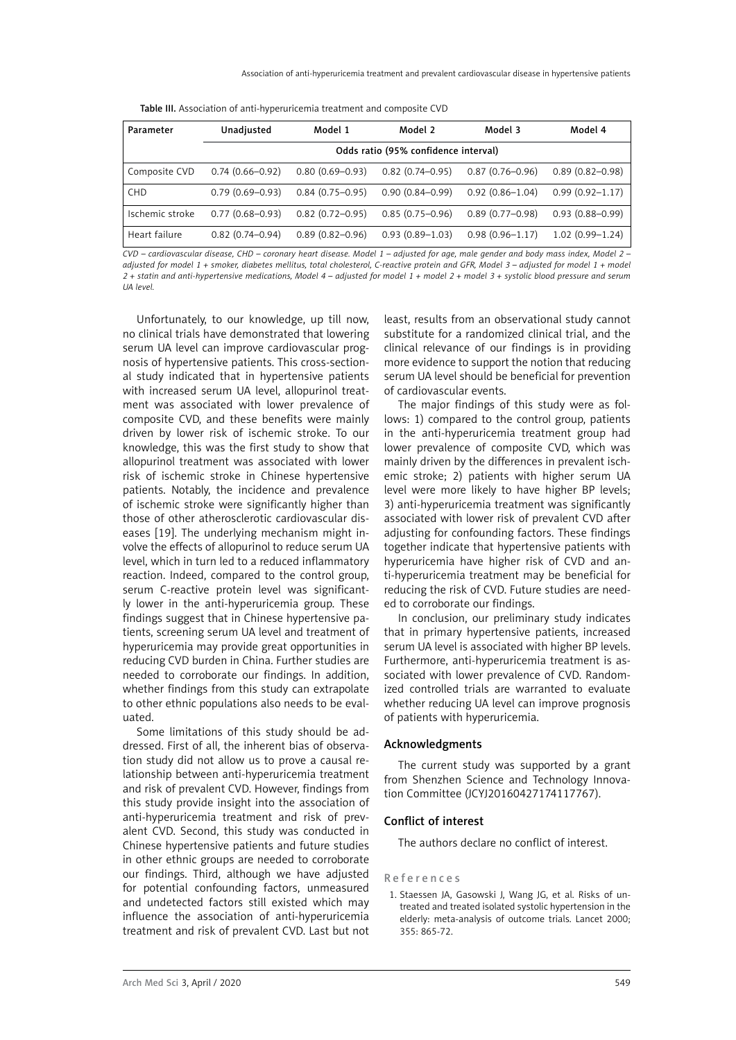|  |  | Table III. Association of anti-hyperuricemia treatment and composite CVD |
|--|--|--------------------------------------------------------------------------|
|--|--|--------------------------------------------------------------------------|

| Parameter       | Unadjusted                           | Model 1             | Model 2             | Model 3             | Model 4             |
|-----------------|--------------------------------------|---------------------|---------------------|---------------------|---------------------|
|                 | Odds ratio (95% confidence interval) |                     |                     |                     |                     |
| Composite CVD   | $0.74(0.66 - 0.92)$                  | $0.80(0.69 - 0.93)$ | $0.82(0.74 - 0.95)$ | $0.87(0.76 - 0.96)$ | $0.89(0.82 - 0.98)$ |
| <b>CHD</b>      | $0.79(0.69 - 0.93)$                  | $0.84(0.75 - 0.95)$ | $0.90(0.84 - 0.99)$ | $0.92(0.86 - 1.04)$ | $0.99(0.92 - 1.17)$ |
| Ischemic stroke | $0.77(0.68 - 0.93)$                  | $0.82(0.72 - 0.95)$ | $0.85(0.75 - 0.96)$ | $0.89(0.77 - 0.98)$ | $0.93(0.88 - 0.99)$ |
| Heart failure   | $0.82(0.74 - 0.94)$                  | $0.89(0.82 - 0.96)$ | $0.93(0.89 - 1.03)$ | $0.98(0.96 - 1.17)$ | $1.02(0.99 - 1.24)$ |

*CVD – cardiovascular disease, CHD – coronary heart disease. Model 1 – adjusted for age, male gender and body mass index, Model 2 – adjusted for model 1 + smoker, diabetes mellitus, total cholesterol, C-reactive protein and GFR, Model 3 – adjusted for model 1 + model 2 + statin and anti-hypertensive medications, Model 4 – adjusted for model 1 + model 2 + model 3 + systolic blood pressure and serum UA level.*

Unfortunately, to our knowledge, up till now, no clinical trials have demonstrated that lowering serum UA level can improve cardiovascular prognosis of hypertensive patients. This cross-sectional study indicated that in hypertensive patients with increased serum UA level, allopurinol treatment was associated with lower prevalence of composite CVD, and these benefits were mainly driven by lower risk of ischemic stroke. To our knowledge, this was the first study to show that allopurinol treatment was associated with lower risk of ischemic stroke in Chinese hypertensive patients. Notably, the incidence and prevalence of ischemic stroke were significantly higher than those of other atherosclerotic cardiovascular diseases [19]. The underlying mechanism might involve the effects of allopurinol to reduce serum UA level, which in turn led to a reduced inflammatory reaction. Indeed, compared to the control group, serum C-reactive protein level was significantly lower in the anti-hyperuricemia group. These findings suggest that in Chinese hypertensive patients, screening serum UA level and treatment of hyperuricemia may provide great opportunities in reducing CVD burden in China. Further studies are needed to corroborate our findings. In addition, whether findings from this study can extrapolate to other ethnic populations also needs to be evaluated.

Some limitations of this study should be addressed. First of all, the inherent bias of observation study did not allow us to prove a causal relationship between anti-hyperuricemia treatment and risk of prevalent CVD. However, findings from this study provide insight into the association of anti-hyperuricemia treatment and risk of prevalent CVD. Second, this study was conducted in Chinese hypertensive patients and future studies in other ethnic groups are needed to corroborate our findings. Third, although we have adjusted for potential confounding factors, unmeasured and undetected factors still existed which may influence the association of anti-hyperuricemia treatment and risk of prevalent CVD. Last but not

least, results from an observational study cannot substitute for a randomized clinical trial, and the clinical relevance of our findings is in providing more evidence to support the notion that reducing serum UA level should be beneficial for prevention of cardiovascular events.

The major findings of this study were as follows: 1) compared to the control group, patients in the anti-hyperuricemia treatment group had lower prevalence of composite CVD, which was mainly driven by the differences in prevalent ischemic stroke; 2) patients with higher serum UA level were more likely to have higher BP levels; 3) anti-hyperuricemia treatment was significantly associated with lower risk of prevalent CVD after adjusting for confounding factors. These findings together indicate that hypertensive patients with hyperuricemia have higher risk of CVD and anti-hyperuricemia treatment may be beneficial for reducing the risk of CVD. Future studies are needed to corroborate our findings.

In conclusion, our preliminary study indicates that in primary hypertensive patients, increased serum UA level is associated with higher BP levels. Furthermore, anti-hyperuricemia treatment is associated with lower prevalence of CVD. Randomized controlled trials are warranted to evaluate whether reducing UA level can improve prognosis of patients with hyperuricemia.

#### Acknowledgments

The current study was supported by a grant from Shenzhen Science and Technology Innovation Committee (JCYJ20160427174117767).

# Conflict of interest

The authors declare no conflict of interest.

#### References

1. Staessen JA, Gasowski J, Wang JG, et al. Risks of untreated and treated isolated systolic hypertension in the elderly: meta-analysis of outcome trials. Lancet 2000; 355: 865-72.